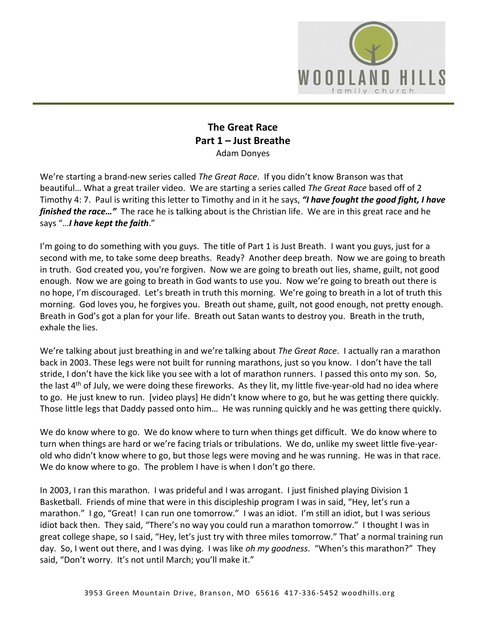

## **The Great Race Part 1 – Just Breathe** Adam Donyes

We're starting a brand-new series called *The Great Race*. If you didn't know Branson was that beautiful… What a great trailer video. We are starting a series called *The Great Race* based off of 2 Timothy 4: 7. Paul is writing this letter to Timothy and in it he says, *"I have fought the good fight, I have finished the race…"* The race he is talking about is the Christian life. We are in this great race and he says "…*I have kept the faith*."

I'm going to do something with you guys. The title of Part 1 is Just Breath. I want you guys, just for a second with me, to take some deep breaths. Ready? Another deep breath. Now we are going to breath in truth. God created you, you're forgiven. Now we are going to breath out lies, shame, guilt, not good enough. Now we are going to breath in God wants to use you. Now we're going to breath out there is no hope, I'm discouraged. Let's breath in truth this morning. We're going to breath in a lot of truth this morning. God loves you, he forgives you. Breath out shame, guilt, not good enough, not pretty enough. Breath in God's got a plan for your life. Breath out Satan wants to destroy you. Breath in the truth, exhale the lies.

We're talking about just breathing in and we're talking about *The Great Race*. I actually ran a marathon back in 2003. These legs were not built for running marathons, just so you know. I don't have the tall stride, I don't have the kick like you see with a lot of marathon runners. I passed this onto my son. So, the last 4<sup>th</sup> of July, we were doing these fireworks. As they lit, my little five-year-old had no idea where to go. He just knew to run. [video plays] He didn't know where to go, but he was getting there quickly. Those little legs that Daddy passed onto him… He was running quickly and he was getting there quickly.

We do know where to go. We do know where to turn when things get difficult. We do know where to turn when things are hard or we're facing trials or tribulations. We do, unlike my sweet little five-yearold who didn't know where to go, but those legs were moving and he was running. He was in that race. We do know where to go. The problem I have is when I don't go there.

In 2003, I ran this marathon. I was prideful and I was arrogant. I just finished playing Division 1 Basketball. Friends of mine that were in this discipleship program I was in said, "Hey, let's run a marathon." I go, "Great! I can run one tomorrow." I was an idiot. I'm still an idiot, but I was serious idiot back then. They said, "There's no way you could run a marathon tomorrow." I thought I was in great college shape, so I said, "Hey, let's just try with three miles tomorrow." That' a normal training run day. So, I went out there, and I was dying. I was like *oh my goodness*. "When's this marathon?" They said, "Don't worry. It's not until March; you'll make it."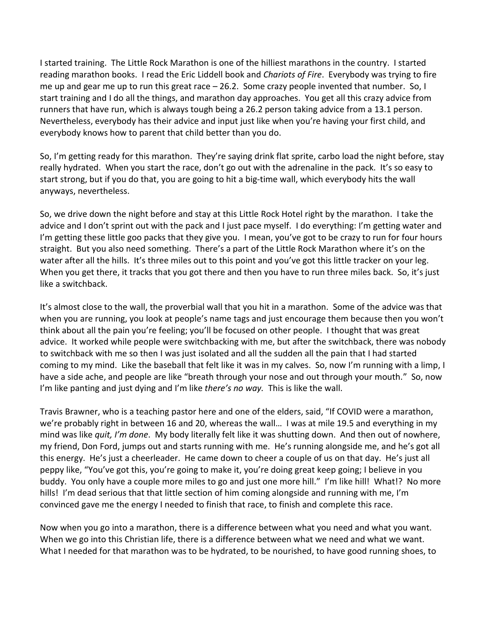I started training. The Little Rock Marathon is one of the hilliest marathons in the country. I started reading marathon books. I read the Eric Liddell book and *Chariots of Fire*. Everybody was trying to fire me up and gear me up to run this great race – 26.2. Some crazy people invented that number. So, I start training and I do all the things, and marathon day approaches. You get all this crazy advice from runners that have run, which is always tough being a 26.2 person taking advice from a 13.1 person. Nevertheless, everybody has their advice and input just like when you're having your first child, and everybody knows how to parent that child better than you do.

So, I'm getting ready for this marathon. They're saying drink flat sprite, carbo load the night before, stay really hydrated. When you start the race, don't go out with the adrenaline in the pack. It's so easy to start strong, but if you do that, you are going to hit a big-time wall, which everybody hits the wall anyways, nevertheless.

So, we drive down the night before and stay at this Little Rock Hotel right by the marathon. I take the advice and I don't sprint out with the pack and I just pace myself. I do everything: I'm getting water and I'm getting these little goo packs that they give you. I mean, you've got to be crazy to run for four hours straight. But you also need something. There's a part of the Little Rock Marathon where it's on the water after all the hills. It's three miles out to this point and you've got this little tracker on your leg. When you get there, it tracks that you got there and then you have to run three miles back. So, it's just like a switchback.

It's almost close to the wall, the proverbial wall that you hit in a marathon. Some of the advice was that when you are running, you look at people's name tags and just encourage them because then you won't think about all the pain you're feeling; you'll be focused on other people. I thought that was great advice. It worked while people were switchbacking with me, but after the switchback, there was nobody to switchback with me so then I was just isolated and all the sudden all the pain that I had started coming to my mind. Like the baseball that felt like it was in my calves. So, now I'm running with a limp, I have a side ache, and people are like "breath through your nose and out through your mouth." So, now I'm like panting and just dying and I'm like *there's no way.* This is like the wall.

Travis Brawner, who is a teaching pastor here and one of the elders, said, "If COVID were a marathon, we're probably right in between 16 and 20, whereas the wall… I was at mile 19.5 and everything in my mind was like *quit, I'm done*. My body literally felt like it was shutting down. And then out of nowhere, my friend, Don Ford, jumps out and starts running with me. He's running alongside me, and he's got all this energy. He's just a cheerleader. He came down to cheer a couple of us on that day. He's just all peppy like, "You've got this, you're going to make it, you're doing great keep going; I believe in you buddy. You only have a couple more miles to go and just one more hill." I'm like hill! What!? No more hills! I'm dead serious that that little section of him coming alongside and running with me, I'm convinced gave me the energy I needed to finish that race, to finish and complete this race.

Now when you go into a marathon, there is a difference between what you need and what you want. When we go into this Christian life, there is a difference between what we need and what we want. What I needed for that marathon was to be hydrated, to be nourished, to have good running shoes, to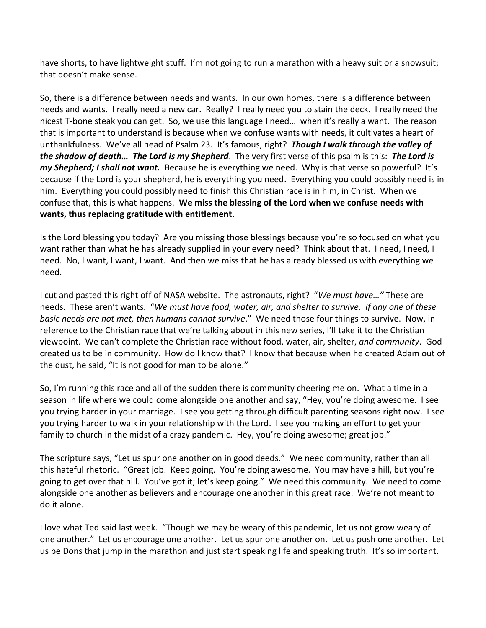have shorts, to have lightweight stuff. I'm not going to run a marathon with a heavy suit or a snowsuit; that doesn't make sense.

So, there is a difference between needs and wants. In our own homes, there is a difference between needs and wants. I really need a new car. Really? I really need you to stain the deck. I really need the nicest T-bone steak you can get. So, we use this language I need… when it's really a want. The reason that is important to understand is because when we confuse wants with needs, it cultivates a heart of unthankfulness. We've all head of Psalm 23. It's famous, right? *Though I walk through the valley of the shadow of death… The Lord is my Shepherd*. The very first verse of this psalm is this: *The Lord is my Shepherd; I shall not want.* Because he is everything we need. Why is that verse so powerful? It's because if the Lord is your shepherd, he is everything you need. Everything you could possibly need is in him. Everything you could possibly need to finish this Christian race is in him, in Christ. When we confuse that, this is what happens. **We miss the blessing of the Lord when we confuse needs with wants, thus replacing gratitude with entitlement**.

Is the Lord blessing you today? Are you missing those blessings because you're so focused on what you want rather than what he has already supplied in your every need? Think about that. I need, I need, I need. No, I want, I want, I want. And then we miss that he has already blessed us with everything we need.

I cut and pasted this right off of NASA website. The astronauts, right? "*We must have…"* These are needs. These aren't wants. "*We must have food, water, air, and shelter to survive. If any one of these basic needs are not met, then humans cannot survive*." We need those four things to survive. Now, in reference to the Christian race that we're talking about in this new series, I'll take it to the Christian viewpoint. We can't complete the Christian race without food, water, air, shelter, *and community*. God created us to be in community. How do I know that? I know that because when he created Adam out of the dust, he said, "It is not good for man to be alone."

So, I'm running this race and all of the sudden there is community cheering me on. What a time in a season in life where we could come alongside one another and say, "Hey, you're doing awesome. I see you trying harder in your marriage. I see you getting through difficult parenting seasons right now. I see you trying harder to walk in your relationship with the Lord. I see you making an effort to get your family to church in the midst of a crazy pandemic. Hey, you're doing awesome; great job."

The scripture says, "Let us spur one another on in good deeds." We need community, rather than all this hateful rhetoric. "Great job. Keep going. You're doing awesome. You may have a hill, but you're going to get over that hill. You've got it; let's keep going." We need this community. We need to come alongside one another as believers and encourage one another in this great race. We're not meant to do it alone.

I love what Ted said last week. "Though we may be weary of this pandemic, let us not grow weary of one another." Let us encourage one another. Let us spur one another on. Let us push one another. Let us be Dons that jump in the marathon and just start speaking life and speaking truth. It's so important.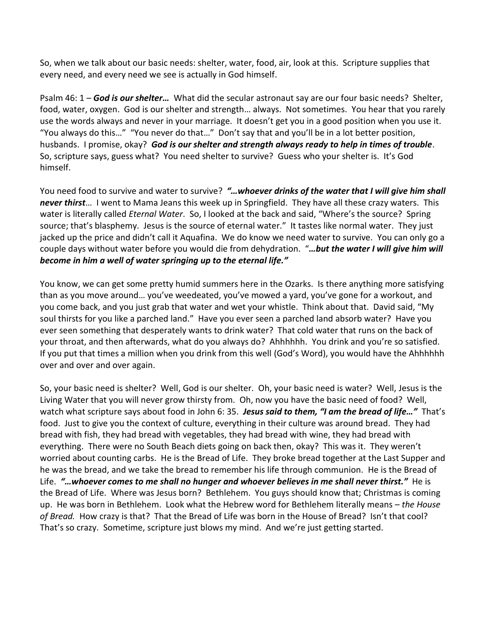So, when we talk about our basic needs: shelter, water, food, air, look at this. Scripture supplies that every need, and every need we see is actually in God himself.

Psalm 46: 1 – *God is our shelter…* What did the secular astronaut say are our four basic needs? Shelter, food, water, oxygen. God is our shelter and strength… always. Not sometimes. You hear that you rarely use the words always and never in your marriage. It doesn't get you in a good position when you use it. "You always do this…" "You never do that…" Don't say that and you'll be in a lot better position, husbands. I promise, okay? *God is our shelter and strength always ready to help in times of trouble*. So, scripture says, guess what? You need shelter to survive? Guess who your shelter is. It's God himself.

You need food to survive and water to survive? *"…whoever drinks of the water that I will give him shall never thirst*… I went to Mama Jeans this week up in Springfield. They have all these crazy waters. This water is literally called *Eternal Water*. So, I looked at the back and said, "Where's the source? Spring source; that's blasphemy. Jesus is the source of eternal water." It tastes like normal water. They just jacked up the price and didn't call it Aquafina. We do know we need water to survive. You can only go a couple days without water before you would die from dehydration. "*…but the water I will give him will become in him a well of water springing up to the eternal life."*

You know, we can get some pretty humid summers here in the Ozarks. Is there anything more satisfying than as you move around… you've weedeated, you've mowed a yard, you've gone for a workout, and you come back, and you just grab that water and wet your whistle. Think about that. David said, "My soul thirsts for you like a parched land." Have you ever seen a parched land absorb water? Have you ever seen something that desperately wants to drink water? That cold water that runs on the back of your throat, and then afterwards, what do you always do? Ahhhhhh. You drink and you're so satisfied. If you put that times a million when you drink from this well (God's Word), you would have the Ahhhhhh over and over and over again.

So, your basic need is shelter? Well, God is our shelter. Oh, your basic need is water? Well, Jesus is the Living Water that you will never grow thirsty from. Oh, now you have the basic need of food? Well, watch what scripture says about food in John 6: 35. *Jesus said to them, "I am the bread of life…"* That's food. Just to give you the context of culture, everything in their culture was around bread. They had bread with fish, they had bread with vegetables, they had bread with wine, they had bread with everything. There were no South Beach diets going on back then, okay? This was it. They weren't worried about counting carbs. He is the Bread of Life. They broke bread together at the Last Supper and he was the bread, and we take the bread to remember his life through communion. He is the Bread of Life. *"…whoever comes to me shall no hunger and whoever believes in me shall never thirst."* He is the Bread of Life. Where was Jesus born? Bethlehem. You guys should know that; Christmas is coming up. He was born in Bethlehem. Look what the Hebrew word for Bethlehem literally means – *the House of Bread.* How crazy is that? That the Bread of Life was born in the House of Bread? Isn't that cool? That's so crazy. Sometime, scripture just blows my mind. And we're just getting started.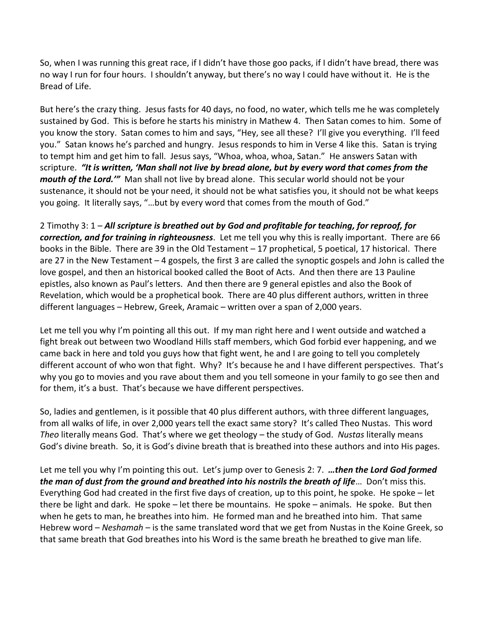So, when I was running this great race, if I didn't have those goo packs, if I didn't have bread, there was no way I run for four hours. I shouldn't anyway, but there's no way I could have without it. He is the Bread of Life.

But here's the crazy thing. Jesus fasts for 40 days, no food, no water, which tells me he was completely sustained by God. This is before he starts his ministry in Mathew 4. Then Satan comes to him. Some of you know the story. Satan comes to him and says, "Hey, see all these? I'll give you everything. I'll feed you." Satan knows he's parched and hungry. Jesus responds to him in Verse 4 like this. Satan is trying to tempt him and get him to fall. Jesus says, "Whoa, whoa, whoa, Satan." He answers Satan with scripture. *"It is written, 'Man shall not live by bread alone, but by every word that comes from the mouth of the Lord.'"* Man shall not live by bread alone. This secular world should not be your sustenance, it should not be your need, it should not be what satisfies you, it should not be what keeps you going. It literally says, "…but by every word that comes from the mouth of God."

2 Timothy 3: 1 – *All scripture is breathed out by God and profitable for teaching, for reproof, for correction, and for training in righteousness*. Let me tell you why this is really important. There are 66 books in the Bible. There are 39 in the Old Testament – 17 prophetical, 5 poetical, 17 historical. There are 27 in the New Testament – 4 gospels, the first 3 are called the synoptic gospels and John is called the love gospel, and then an historical booked called the Boot of Acts. And then there are 13 Pauline epistles, also known as Paul's letters. And then there are 9 general epistles and also the Book of Revelation, which would be a prophetical book. There are 40 plus different authors, written in three different languages – Hebrew, Greek, Aramaic – written over a span of 2,000 years.

Let me tell you why I'm pointing all this out. If my man right here and I went outside and watched a fight break out between two Woodland Hills staff members, which God forbid ever happening, and we came back in here and told you guys how that fight went, he and I are going to tell you completely different account of who won that fight. Why? It's because he and I have different perspectives. That's why you go to movies and you rave about them and you tell someone in your family to go see then and for them, it's a bust. That's because we have different perspectives.

So, ladies and gentlemen, is it possible that 40 plus different authors, with three different languages, from all walks of life, in over 2,000 years tell the exact same story? It's called Theo Nustas. This word *Theo* literally means God. That's where we get theology – the study of God. *Nustas* literally means God's divine breath. So, it is God's divine breath that is breathed into these authors and into His pages.

Let me tell you why I'm pointing this out. Let's jump over to Genesis 2: 7. *…then the Lord God formed the man of dust from the ground and breathed into his nostrils the breath of life*… Don't miss this. Everything God had created in the first five days of creation, up to this point, he spoke. He spoke – let there be light and dark. He spoke – let there be mountains. He spoke – animals. He spoke. But then when he gets to man, he breathes into him. He formed man and he breathed into him. That same Hebrew word – *Neshamah* – is the same translated word that we get from Nustas in the Koine Greek, so that same breath that God breathes into his Word is the same breath he breathed to give man life.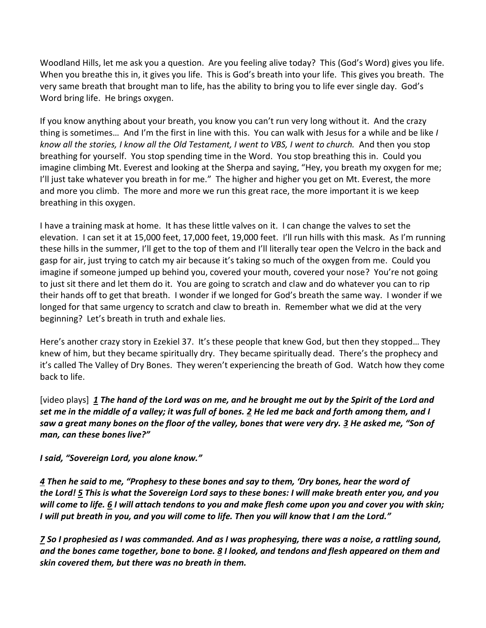Woodland Hills, let me ask you a question. Are you feeling alive today? This (God's Word) gives you life. When you breathe this in, it gives you life. This is God's breath into your life. This gives you breath. The very same breath that brought man to life, has the ability to bring you to life ever single day. God's Word bring life. He brings oxygen.

If you know anything about your breath, you know you can't run very long without it. And the crazy thing is sometimes… And I'm the first in line with this. You can walk with Jesus for a while and be like *I know all the stories, I know all the Old Testament, I went to VBS, I went to church.* And then you stop breathing for yourself. You stop spending time in the Word. You stop breathing this in. Could you imagine climbing Mt. Everest and looking at the Sherpa and saying, "Hey, you breath my oxygen for me; I'll just take whatever you breath in for me." The higher and higher you get on Mt. Everest, the more and more you climb. The more and more we run this great race, the more important it is we keep breathing in this oxygen.

I have a training mask at home. It has these little valves on it. I can change the valves to set the elevation. I can set it at 15,000 feet, 17,000 feet, 19,000 feet. I'll run hills with this mask. As I'm running these hills in the summer, I'll get to the top of them and I'll literally tear open the Velcro in the back and gasp for air, just trying to catch my air because it's taking so much of the oxygen from me. Could you imagine if someone jumped up behind you, covered your mouth, covered your nose? You're not going to just sit there and let them do it. You are going to scratch and claw and do whatever you can to rip their hands off to get that breath. I wonder if we longed for God's breath the same way. I wonder if we longed for that same urgency to scratch and claw to breath in. Remember what we did at the very beginning? Let's breath in truth and exhale lies.

Here's another crazy story in Ezekiel 37. It's these people that knew God, but then they stopped… They knew of him, but they became spiritually dry. They became spiritually dead. There's the prophecy and it's called The Valley of Dry Bones. They weren't experiencing the breath of God. Watch how they come back to life.

[video plays] *[1](https://www.studylight.org/desk/?q=eze%2037:1&t1=en_niv&sr=1) The hand of the Lord was on me, and he brought me out by the Spirit of the Lord and set me in the middle of a valley; it was full of bones. [2](https://www.studylight.org/desk/?q=eze%2037:2&t1=en_niv&sr=1) He led me back and forth among them, and I saw a great many bones on the floor of the valley, bones that were very dry. [3](https://www.studylight.org/desk/?q=eze%2037:3&t1=en_niv&sr=1) He asked me, "Son of man, can these bones live?"*

*I said, "Sovereign Lord, you alone know."*

*[4](https://www.studylight.org/desk/?q=eze%2037:4&t1=en_niv&sr=1) Then he said to me, "Prophesy to these bones and say to them, 'Dry bones, hear the word of the Lord! [5](https://www.studylight.org/desk/?q=eze%2037:5&t1=en_niv&sr=1) This is what the Sovereign Lord says to these bones: I will make breath enter you, and you will come to life. [6](https://www.studylight.org/desk/?q=eze%2037:6&t1=en_niv&sr=1) I will attach tendons to you and make flesh come upon you and cover you with skin; I* will put breath in you, and you will come to life. Then you will know that I am the Lord."

*[7](https://www.studylight.org/desk/?q=eze%2037:7&t1=en_niv&sr=1) So I prophesied as I was commanded. And as I was prophesying, there was a noise, a rattling sound, and the bones came together, bone to bone. [8](https://www.studylight.org/desk/?q=eze%2037:8&t1=en_niv&sr=1) I looked, and tendons and flesh appeared on them and skin covered them, but there was no breath in them.*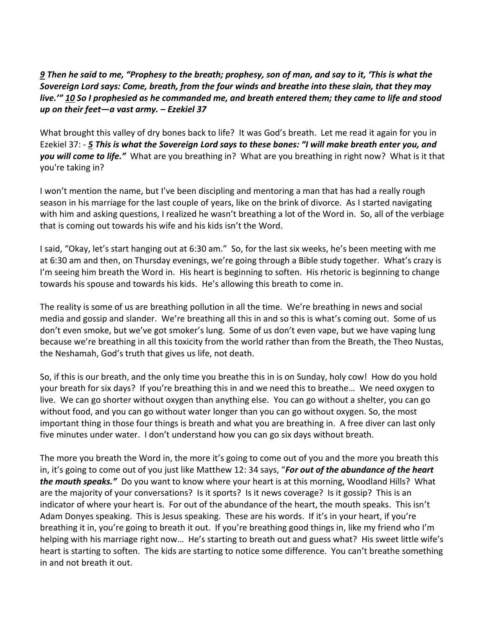*[9](https://www.studylight.org/desk/?q=eze%2037:9&t1=en_niv&sr=1) Then he said to me, "Prophesy to the breath; prophesy, son of man, and say to it, 'This is what the Sovereign Lord says: Come, breath, from the four winds and breathe into these slain, that they may live.'" [10](https://www.studylight.org/desk/?q=eze%2037:10&t1=en_niv&sr=1) So I prophesied as he commanded me, and breath entered them; they came to life and stood up on their feet—a vast army. – Ezekiel 37*

What brought this valley of dry bones back to life? It was God's breath. Let me read it again for you in Ezekiel 37: - *[5](https://www.studylight.org/desk/?q=eze%2037:5&t1=en_niv&sr=1) This is what the Sovereign Lord says to these bones: "I will make breath enter you, and you will come to life."* What are you breathing in? What are you breathing in right now? What is it that you're taking in?

I won't mention the name, but I've been discipling and mentoring a man that has had a really rough season in his marriage for the last couple of years, like on the brink of divorce. As I started navigating with him and asking questions, I realized he wasn't breathing a lot of the Word in. So, all of the verbiage that is coming out towards his wife and his kids isn't the Word.

I said, "Okay, let's start hanging out at 6:30 am." So, for the last six weeks, he's been meeting with me at 6:30 am and then, on Thursday evenings, we're going through a Bible study together. What's crazy is I'm seeing him breath the Word in. His heart is beginning to soften. His rhetoric is beginning to change towards his spouse and towards his kids. He's allowing this breath to come in.

The reality is some of us are breathing pollution in all the time. We're breathing in news and social media and gossip and slander. We're breathing all this in and so this is what's coming out. Some of us don't even smoke, but we've got smoker's lung. Some of us don't even vape, but we have vaping lung because we're breathing in all this toxicity from the world rather than from the Breath, the Theo Nustas, the Neshamah, God's truth that gives us life, not death.

So, if this is our breath, and the only time you breathe this in is on Sunday, holy cow! How do you hold your breath for six days? If you're breathing this in and we need this to breathe… We need oxygen to live. We can go shorter without oxygen than anything else. You can go without a shelter, you can go without food, and you can go without water longer than you can go without oxygen. So, the most important thing in those four things is breath and what you are breathing in. A free diver can last only five minutes under water. I don't understand how you can go six days without breath.

The more you breath the Word in, the more it's going to come out of you and the more you breath this in, it's going to come out of you just like Matthew 12: 34 says, "*For out of the abundance of the heart the mouth speaks."* Do you want to know where your heart is at this morning, Woodland Hills? What are the majority of your conversations? Is it sports? Is it news coverage? Is it gossip? This is an indicator of where your heart is. For out of the abundance of the heart, the mouth speaks. This isn't Adam Donyes speaking. This is Jesus speaking. These are his words. If it's in your heart, if you're breathing it in, you're going to breath it out. If you're breathing good things in, like my friend who I'm helping with his marriage right now... He's starting to breath out and guess what? His sweet little wife's heart is starting to soften. The kids are starting to notice some difference. You can't breathe something in and not breath it out.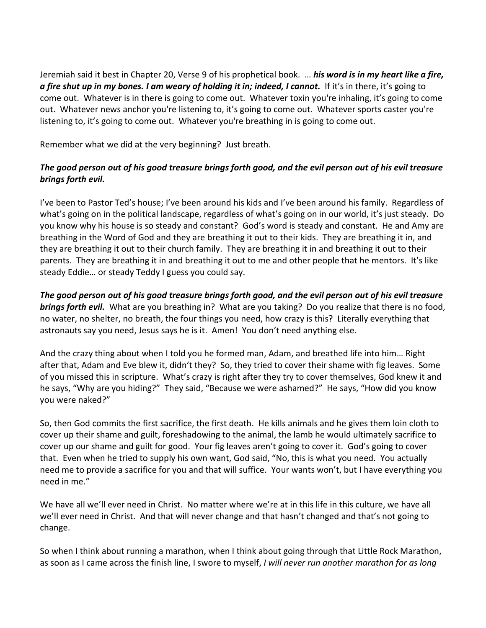Jeremiah said it best in Chapter 20, Verse 9 of his prophetical book. … *his word is in my heart like a fire, a fire shut up in my bones. I am weary of holding it in; indeed, I cannot.* If it's in there, it's going to come out. Whatever is in there is going to come out. Whatever toxin you're inhaling, it's going to come out. Whatever news anchor you're listening to, it's going to come out. Whatever sports caster you're listening to, it's going to come out. Whatever you're breathing in is going to come out.

Remember what we did at the very beginning? Just breath.

## *The good person out of his good treasure brings forth good, and the evil person out of his evil treasure brings forth evil.*

I've been to Pastor Ted's house; I've been around his kids and I've been around his family. Regardless of what's going on in the political landscape, regardless of what's going on in our world, it's just steady. Do you know why his house is so steady and constant? God's word is steady and constant. He and Amy are breathing in the Word of God and they are breathing it out to their kids. They are breathing it in, and they are breathing it out to their church family. They are breathing it in and breathing it out to their parents. They are breathing it in and breathing it out to me and other people that he mentors. It's like steady Eddie… or steady Teddy I guess you could say.

*The good person out of his good treasure brings forth good, and the evil person out of his evil treasure brings forth evil.* What are you breathing in? What are you taking? Do you realize that there is no food, no water, no shelter, no breath, the four things you need, how crazy is this? Literally everything that astronauts say you need, Jesus says he is it. Amen! You don't need anything else.

And the crazy thing about when I told you he formed man, Adam, and breathed life into him… Right after that, Adam and Eve blew it, didn't they? So, they tried to cover their shame with fig leaves. Some of you missed this in scripture. What's crazy is right after they try to cover themselves, God knew it and he says, "Why are you hiding?" They said, "Because we were ashamed?" He says, "How did you know you were naked?"

So, then God commits the first sacrifice, the first death. He kills animals and he gives them loin cloth to cover up their shame and guilt, foreshadowing to the animal, the lamb he would ultimately sacrifice to cover up our shame and guilt for good. Your fig leaves aren't going to cover it. God's going to cover that. Even when he tried to supply his own want, God said, "No, this is what you need. You actually need me to provide a sacrifice for you and that will suffice. Your wants won't, but I have everything you need in me."

We have all we'll ever need in Christ. No matter where we're at in this life in this culture, we have all we'll ever need in Christ. And that will never change and that hasn't changed and that's not going to change.

So when I think about running a marathon, when I think about going through that Little Rock Marathon, as soon as I came across the finish line, I swore to myself, *I will never run another marathon for as long*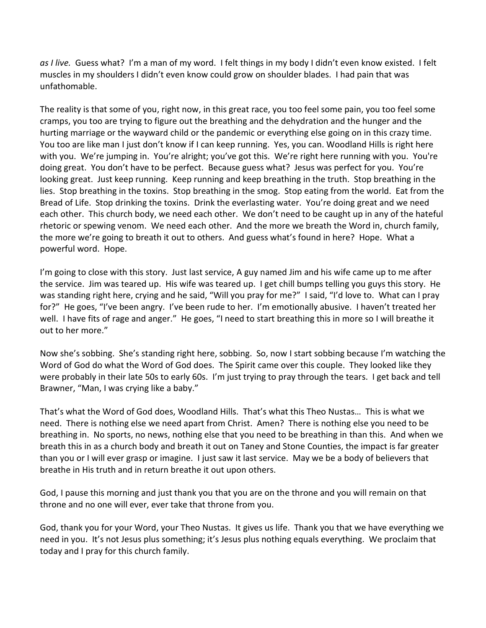*as I live.* Guess what? I'm a man of my word. I felt things in my body I didn't even know existed. I felt muscles in my shoulders I didn't even know could grow on shoulder blades. I had pain that was unfathomable.

The reality is that some of you, right now, in this great race, you too feel some pain, you too feel some cramps, you too are trying to figure out the breathing and the dehydration and the hunger and the hurting marriage or the wayward child or the pandemic or everything else going on in this crazy time. You too are like man I just don't know if I can keep running. Yes, you can. Woodland Hills is right here with you. We're jumping in. You're alright; you've got this. We're right here running with you. You're doing great. You don't have to be perfect. Because guess what? Jesus was perfect for you. You're looking great. Just keep running. Keep running and keep breathing in the truth. Stop breathing in the lies. Stop breathing in the toxins. Stop breathing in the smog. Stop eating from the world. Eat from the Bread of Life. Stop drinking the toxins. Drink the everlasting water. You're doing great and we need each other. This church body, we need each other. We don't need to be caught up in any of the hateful rhetoric or spewing venom. We need each other. And the more we breath the Word in, church family, the more we're going to breath it out to others. And guess what's found in here? Hope. What a powerful word. Hope.

I'm going to close with this story. Just last service, A guy named Jim and his wife came up to me after the service. Jim was teared up. His wife was teared up. I get chill bumps telling you guys this story. He was standing right here, crying and he said, "Will you pray for me?" I said, "I'd love to. What can I pray for?" He goes, "I've been angry. I've been rude to her. I'm emotionally abusive. I haven't treated her well. I have fits of rage and anger." He goes, "I need to start breathing this in more so I will breathe it out to her more."

Now she's sobbing. She's standing right here, sobbing. So, now I start sobbing because I'm watching the Word of God do what the Word of God does. The Spirit came over this couple. They looked like they were probably in their late 50s to early 60s. I'm just trying to pray through the tears. I get back and tell Brawner, "Man, I was crying like a baby."

That's what the Word of God does, Woodland Hills. That's what this Theo Nustas… This is what we need. There is nothing else we need apart from Christ. Amen? There is nothing else you need to be breathing in. No sports, no news, nothing else that you need to be breathing in than this. And when we breath this in as a church body and breath it out on Taney and Stone Counties, the impact is far greater than you or I will ever grasp or imagine. I just saw it last service. May we be a body of believers that breathe in His truth and in return breathe it out upon others.

God, I pause this morning and just thank you that you are on the throne and you will remain on that throne and no one will ever, ever take that throne from you.

God, thank you for your Word, your Theo Nustas. It gives us life. Thank you that we have everything we need in you. It's not Jesus plus something; it's Jesus plus nothing equals everything. We proclaim that today and I pray for this church family.